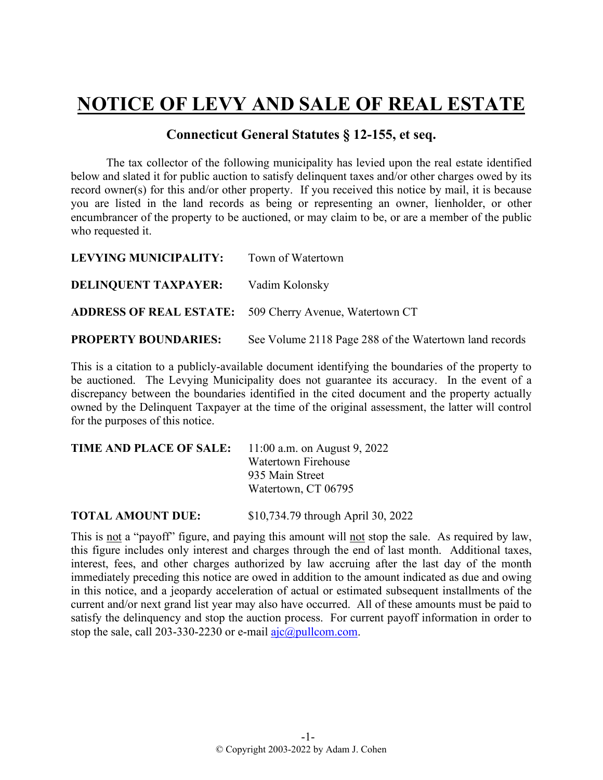## **NOTICE OF LEVY AND SALE OF REAL ESTATE**

## **Connecticut General Statutes § 12-155, et seq.**

The tax collector of the following municipality has levied upon the real estate identified below and slated it for public auction to satisfy delinquent taxes and/or other charges owed by its record owner(s) for this and/or other property. If you received this notice by mail, it is because you are listed in the land records as being or representing an owner, lienholder, or other encumbrancer of the property to be auctioned, or may claim to be, or are a member of the public who requested it.

| LEVYING MUNICIPALITY:                      | Town of Watertown                                              |
|--------------------------------------------|----------------------------------------------------------------|
| <b>DELINQUENT TAXPAYER:</b> Vadim Kolonsky |                                                                |
|                                            | <b>ADDRESS OF REAL ESTATE:</b> 509 Cherry Avenue, Watertown CT |
| <b>PROPERTY BOUNDARIES:</b>                | See Volume 2118 Page 288 of the Watertown land records         |

This is a citation to a publicly-available document identifying the boundaries of the property to be auctioned. The Levying Municipality does not guarantee its accuracy. In the event of a discrepancy between the boundaries identified in the cited document and the property actually owned by the Delinquent Taxpayer at the time of the original assessment, the latter will control for the purposes of this notice.

| TIME AND PLACE OF SALE: | 11:00 a.m. on August 9, 2022 |
|-------------------------|------------------------------|
|                         | Watertown Firehouse          |
|                         | 935 Main Street              |
|                         | Watertown, CT 06795          |
|                         |                              |

**TOTAL AMOUNT DUE:** \$10,734.79 through April 30, 2022

This is not a "payoff" figure, and paying this amount will not stop the sale. As required by law, this figure includes only interest and charges through the end of last month. Additional taxes, interest, fees, and other charges authorized by law accruing after the last day of the month immediately preceding this notice are owed in addition to the amount indicated as due and owing in this notice, and a jeopardy acceleration of actual or estimated subsequent installments of the current and/or next grand list year may also have occurred. All of these amounts must be paid to satisfy the delinquency and stop the auction process. For current payoff information in order to stop the sale, call 203-330-2230 or e-mail  $a$ jc $@p$ ullcom.com.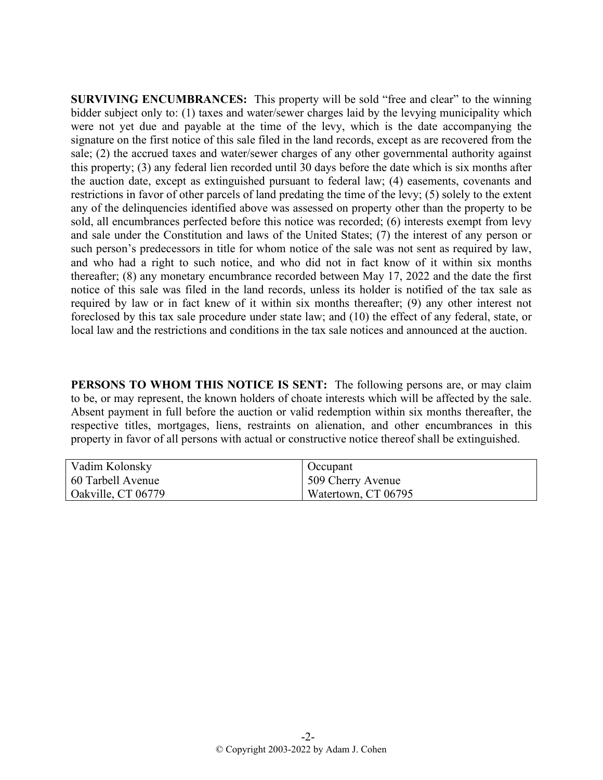**SURVIVING ENCUMBRANCES:** This property will be sold "free and clear" to the winning bidder subject only to: (1) taxes and water/sewer charges laid by the levying municipality which were not yet due and payable at the time of the levy, which is the date accompanying the signature on the first notice of this sale filed in the land records, except as are recovered from the sale; (2) the accrued taxes and water/sewer charges of any other governmental authority against this property; (3) any federal lien recorded until 30 days before the date which is six months after the auction date, except as extinguished pursuant to federal law; (4) easements, covenants and restrictions in favor of other parcels of land predating the time of the levy; (5) solely to the extent any of the delinquencies identified above was assessed on property other than the property to be sold, all encumbrances perfected before this notice was recorded; (6) interests exempt from levy and sale under the Constitution and laws of the United States; (7) the interest of any person or such person's predecessors in title for whom notice of the sale was not sent as required by law, and who had a right to such notice, and who did not in fact know of it within six months thereafter; (8) any monetary encumbrance recorded between May 17, 2022 and the date the first notice of this sale was filed in the land records, unless its holder is notified of the tax sale as required by law or in fact knew of it within six months thereafter; (9) any other interest not foreclosed by this tax sale procedure under state law; and (10) the effect of any federal, state, or local law and the restrictions and conditions in the tax sale notices and announced at the auction.

**PERSONS TO WHOM THIS NOTICE IS SENT:** The following persons are, or may claim to be, or may represent, the known holders of choate interests which will be affected by the sale. Absent payment in full before the auction or valid redemption within six months thereafter, the respective titles, mortgages, liens, restraints on alienation, and other encumbrances in this property in favor of all persons with actual or constructive notice thereof shall be extinguished.

| Vadim Kolonsky     | Occupant            |
|--------------------|---------------------|
| 60 Tarbell Avenue  | 509 Cherry Avenue   |
| Oakville, CT 06779 | Watertown, CT 06795 |